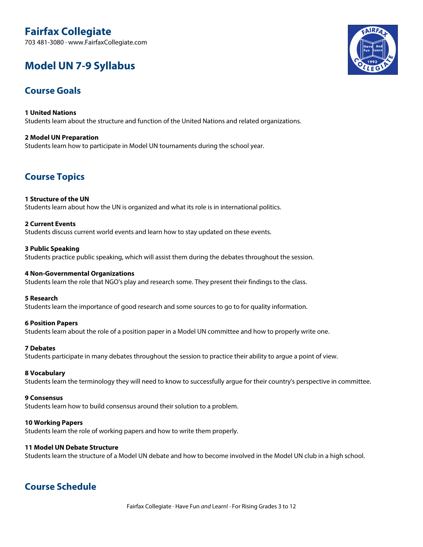# **Fairfax Collegiate**

703 481-3080 · www.FairfaxCollegiate.com

# **Model UN 7-9 Syllabus**

# **Course Goals**

**1 United Nations** Students learn about the structure and function of the United Nations and related organizations.

## **2 Model UN Preparation** Students learn how to participate in Model UN tournaments during the school year.

# **Course Topics**

# **1 Structure of the UN**

Students learn about how the UN is organized and what its role is in international politics.

# **2 Current Events**

Students discuss current world events and learn how to stay updated on these events.

# **3 Public Speaking** Students practice public speaking, which will assist them during the debates throughout the session.

# **4 Non-Governmental Organizations**

Students learn the role that NGO's play and research some. They present their findings to the class.

## **5 Research**

Students learn the importance of good research and some sources to go to for quality information.

# **6 Position Papers**

Students learn about the role of a position paper in a Model UN committee and how to properly write one.

# **7 Debates**

Students participate in many debates throughout the session to practice their ability to argue a point of view.

## **8 Vocabulary**

Students learn the terminology they will need to know to successfully argue for their country's perspective in committee.

## **9 Consensus**

Students learn how to build consensus around their solution to a problem.

## **10 Working Papers**

Students learn the role of working papers and how to write them properly.

## **11 Model UN Debate Structure**

Students learn the structure of a Model UN debate and how to become involved in the Model UN club in a high school.

# **Course Schedule**

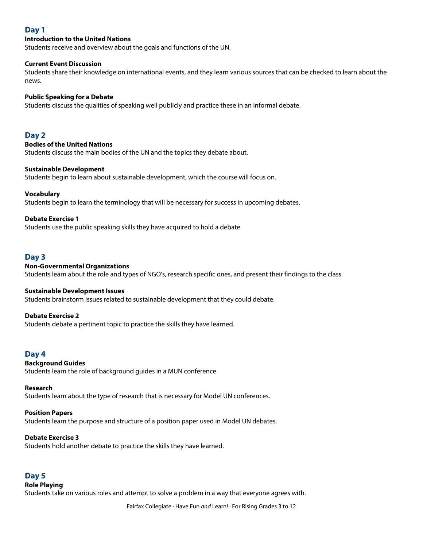# **Day 1**

## **Introduction to the United Nations**

Students receive and overview about the goals and functions of the UN.

#### **Current Event Discussion**

Students share their knowledge on international events, and they learn various sources that can be checked to learn about the news.

### **Public Speaking for a Debate**

Students discuss the qualities of speaking well publicly and practice these in an informal debate.

## **Day 2**

### **Bodies of the United Nations**

Students discuss the main bodies of the UN and the topics they debate about.

#### **Sustainable Development**

Students begin to learn about sustainable development, which the course will focus on.

#### **Vocabulary**

Students begin to learn the terminology that will be necessary for success in upcoming debates.

#### **Debate Exercise 1**

Students use the public speaking skills they have acquired to hold a debate.

# **Day 3**

#### **Non-Governmental Organizations**

Students learn about the role and types of NGO's, research specific ones, and present their findings to the class.

#### **Sustainable Development Issues**

Students brainstorm issues related to sustainable development that they could debate.

#### **Debate Exercise 2**

Students debate a pertinent topic to practice the skills they have learned.

# **Day 4**

#### **Background Guides**

Students learn the role of background guides in a MUN conference.

#### **Research**

Students learn about the type of research that is necessary for Model UN conferences.

#### **Position Papers**

Students learn the purpose and structure of a position paper used in Model UN debates.

#### **Debate Exercise 3**

Students hold another debate to practice the skills they have learned.

## **Day 5**

## **Role Playing**

Students take on various roles and attempt to solve a problem in a way that everyone agrees with.

Fairfax Collegiate · Have Fun *and* Learn! · For Rising Grades 3 to 12